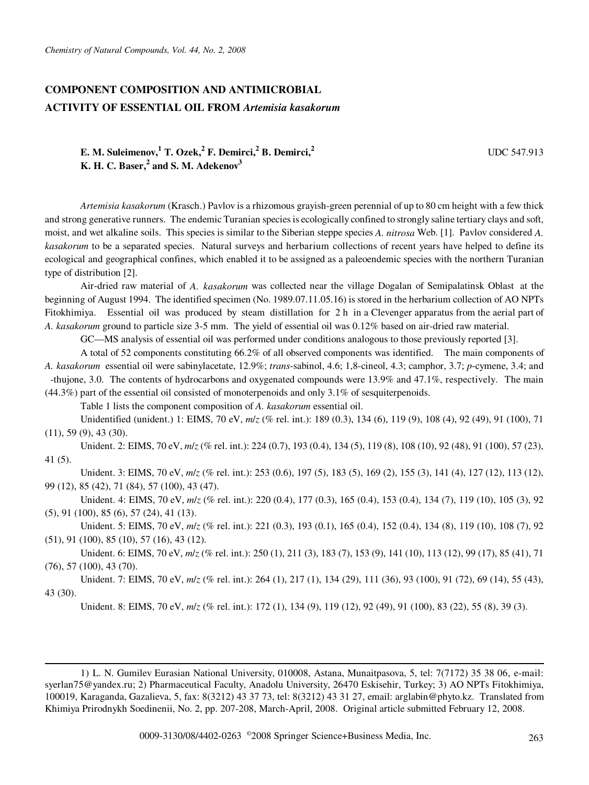## **COMPONENT COMPOSITION AND ANTIMICROBIAL ACTIVITY OF ESSENTIAL OIL FROM** *Artemisia kasakorum*

## **E. M. Suleimenov,<sup>1</sup> T. Ozek,<sup>2</sup> F. Demirci,<sup>2</sup> B. Demirci,<sup>2</sup> UDC 547.913 K. H. C. Baser,<sup>2</sup> and S. M. Adekenov<sup>3</sup>**

*Artemisia kasakorum* (Krasch.) Pavlov is a rhizomous grayish-green perennial of up to 80 cm height with a few thick and strong generative runners. The endemic Turanian species is ecologically confined to strongly saline tertiary clays and soft, moist, and wet alkaline soils. This species is similar to the Siberian steppe species *A. nitrosa* Web. [1]. Pavlov considered *A. kasakorum* to be a separated species. Natural surveys and herbarium collections of recent years have helped to define its ecological and geographical confines, which enabled it to be assigned as a paleoendemic species with the northern Turanian type of distribution [2].

Air-dried raw material of *A. kasakorum* was collected near the village Dogalan of Semipalatinsk Oblast′ at the beginning of August 1994. The identified specimen (No. 1989.07.11.05.16) is stored in the herbarium collection of AO NPTs Fitokhimiya. Essential oil was produced by steam distillation for 2 h in a Clevenger apparatus from the aerial part of *A. kasakorum* ground to particle size 3-5 mm. The yield of essential oil was 0.12% based on air-dried raw material.

GC—MS analysis of essential oil was performed under conditions analogous to those previously reported [3].

A total of 52 components constituting 66.2% of all observed components was identified. The main components of *A. kasakorum* essential oil were sabinylacetate, 12.9%; *trans*-sabinol, 4.6; 1,8-cineol, 4.3; camphor, 3.7; *p*-cymene, 3.4; and β-thujone, 3.0. The contents of hydrocarbons and oxygenated compounds were 13.9% and 47.1%, respectively. The main  $(44.3\%)$  part of the essential oil consisted of monoterpenoids and only 3.1% of sesquiterpenoids.

Table 1 lists the component composition of *A. kasakorum* essential oil.

Unidentified (unident.) 1: EIMS, 70 eV, *m*/*z* (% rel. int.): 189 (0.3), 134 (6), 119 (9), 108 (4), 92 (49), 91 (100), 71 (11), 59 (9), 43 (30).

Unident. 2: EIMS, 70 eV,  $m/z$  (% rel. int.): 224 (0.7), 193 (0.4), 134 (5), 119 (8), 108 (10), 92 (48), 91 (100), 57 (23), 41 (5).

Unident. 3: EIMS, 70 eV,  $m/z$  (% rel. int.): 253 (0.6), 197 (5), 183 (5), 169 (2), 155 (3), 141 (4), 127 (12), 113 (12), 99 (12), 85 (42), 71 (84), 57 (100), 43 (47).

Unident. 4: EIMS, 70 eV, *m*/*z* (% rel. int.): 220 (0.4), 177 (0.3), 165 (0.4), 153 (0.4), 134 (7), 119 (10), 105 (3), 92 (5), 91 (100), 85 (6), 57 (24), 41 (13).

Unident. 5: EIMS, 70 eV, *m*/*z* (% rel. int.): 221 (0.3), 193 (0.1), 165 (0.4), 152 (0.4), 134 (8), 119 (10), 108 (7), 92 (51), 91 (100), 85 (10), 57 (16), 43 (12).

Unident. 6: EIMS, 70 eV, *m*/*z* (% rel. int.): 250 (1), 211 (3), 183 (7), 153 (9), 141 (10), 113 (12), 99 (17), 85 (41), 71 (76), 57 (100), 43 (70).

Unident. 7: EIMS, 70 eV, *m*/*z* (% rel. int.): 264 (1), 217 (1), 134 (29), 111 (36), 93 (100), 91 (72), 69 (14), 55 (43), 43 (30).

Unident. 8: EIMS, 70 eV,  $m/z$  (% rel. int.): 172 (1), 134 (9), 119 (12), 92 (49), 91 (100), 83 (22), 55 (8), 39 (3).

<sup>1)</sup> L. N. Gumilev Eurasian National University, 010008, Astana, Munaitpasova, 5, tel: 7(7172) 35 38 06, e-mail: syerlan75@yandex.ru; 2) Pharmaceutical Faculty, Anadolu University, 26470 Eskisehir, Turkey; 3) AO NPTs Fitokhimiya, 100019, Karaganda, Gazalieva, 5, fax: 8(3212) 43 37 73, tel: 8(3212) 43 31 27, email: arglabin@phyto.kz. Translated from Khimiya Prirodnykh Soedinenii, No. 2, pp. 207-208, March-April, 2008. Original article submitted February 12, 2008.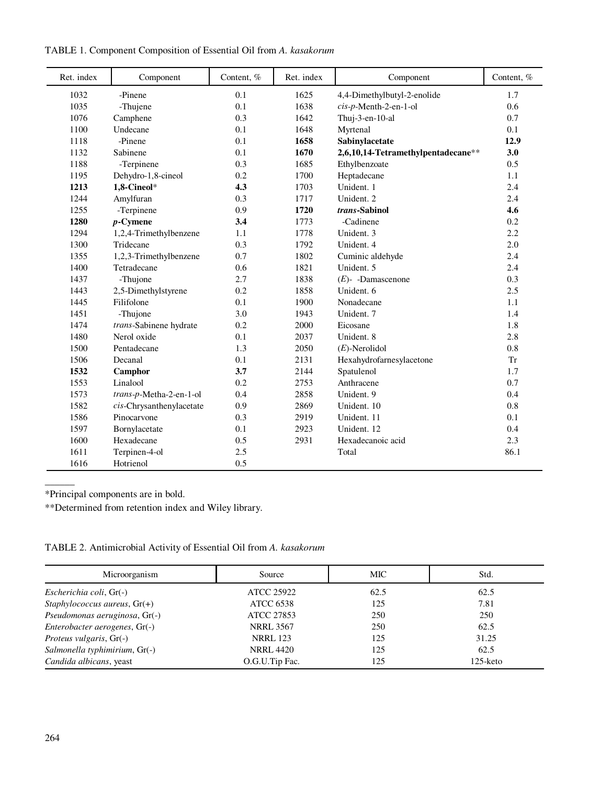| Ret. index | Component                   | Content, % | Ret. index | Component                          | Content, % |
|------------|-----------------------------|------------|------------|------------------------------------|------------|
| 1032       | $\alpha$ -Pinene            | 0.1        | 1625       | 4,4-Dimethylbutyl-2-enolide        | 1.7        |
| 1035       | $\alpha$ -Thujene           | 0.1        | 1638       | cis-p-Menth-2-en-1-ol              | 0.6        |
| 1076       | Camphene                    | 0.3        | 1642       | Thuj-3-en-10-al                    | 0.7        |
| 1100       | Undecane                    | 0.1        | 1648       | Myrtenal                           | 0.1        |
| 1118       | $\beta$ -Pinene             | 0.1        | 1658       | Sabinylacetate                     | 12.9       |
| 1132       | Sabinene                    | 0.1        | 1670       | 2,6,10,14-Tetramethylpentadecane** | 3.0        |
| 1188       | $\alpha$ -Terpinene         | 0.3        | 1685       | Ethylbenzoate                      | 0.5        |
| 1195       | Dehydro-1,8-cineol          | 0.2        | 1700       | Heptadecane                        | 1.1        |
| 1213       | 1,8-Cineol*                 | 4.3        | 1703       | Unident. 1                         | 2.4        |
| 1244       | Amylfuran                   | 0.3        | 1717       | Unident. 2                         | 2.4        |
| 1255       | $\gamma$ -Terpinene         | 0.9        | 1720       | trans-Sabinol                      | 4.6        |
| 1280       | $p$ -Cymene                 | 3.4        | 1773       | $\delta$ -Cadinene                 | 0.2        |
| 1294       | 1,2,4-Trimethylbenzene      | 1.1        | 1778       | Unident. 3                         | 2.2        |
| 1300       | Tridecane                   | 0.3        | 1792       | Unident. 4                         | 2.0        |
| 1355       | 1,2,3-Trimethylbenzene      | 0.7        | 1802       | Cuminic aldehyde                   | 2.4        |
| 1400       | Tetradecane                 | 0.6        | 1821       | Unident. 5                         | 2.4        |
| 1437       | $\alpha$ -Thujone           | 2.7        | 1838       | $(E)$ - $\beta$ -Damascenone       | 0.3        |
| 1443       | 2,5-Dimethylstyrene         | 0.2        | 1858       | Unident. 6                         | 2.5        |
| 1445       | Filifolone                  | 0.1        | 1900       | Nonadecane                         | 1.1        |
| 1451       | $\beta$ -Thujone            | 3.0        | 1943       | Unident. 7                         | 1.4        |
| 1474       | trans-Sabinene hydrate      | 0.2        | 2000       | Eicosane                           | 1.8        |
| 1480       | Nerol oxide                 | 0.1        | 2037       | Unident. 8                         | 2.8        |
| 1500       | Pentadecane                 | 1.3        | 2050       | $(E)$ -Nerolidol                   | 0.8        |
| 1506       | Decanal                     | 0.1        | 2131       | Hexahydrofarnesylacetone           | <b>Tr</b>  |
| 1532       | Camphor                     | 3.7        | 2144       | Spatulenol                         | 1.7        |
| 1553       | Linalool                    | 0.2        | 2753       | Anthracene                         | 0.7        |
| 1573       | trans-p-Metha-2-en-1-ol     | 0.4        | 2858       | Unident. 9                         | 0.4        |
| 1582       | $cis$ -Chrysanthenylacetate | 0.9        | 2869       | Unident, 10                        | 0.8        |
| 1586       | Pinocarvone                 | 0.3        | 2919       | Unident. 11                        | 0.1        |
| 1597       | Bornylacetate               | 0.1        | 2923       | Unident. 12                        | 0.4        |
| 1600       | Hexadecane                  | 0.5        | 2931       | Hexadecanoic acid                  | 2.3        |
| 1611       | Terpinen-4-ol               | 2.5        |            | Total                              | 86.1       |
| 1616       | Hotrienol                   | 0.5        |            |                                    |            |

TABLE 1. Component Composition of Essential Oil from *A. kasakorum*

\*Principal components are in bold.

 $\overline{\phantom{a}}$ 

\*\*Determined from retention index and Wiley library.

TABLE 2. Antimicrobial Activity of Essential Oil from *A. kasakorum*

| Microorganism                  | Source           | MIC . | Std.        |
|--------------------------------|------------------|-------|-------------|
| Escherichia coli, $Gr(-)$      | ATCC 25922       | 62.5  | 62.5        |
| Staphylococcus aureus, $Gr(+)$ | <b>ATCC 6538</b> | 125   | 7.81        |
| Pseudomonas aeruginosa, Gr(-)  | ATCC 27853       | 250   | 250         |
| Enterobacter aerogenes, Gr(-)  | <b>NRRL 3567</b> | 250   | 62.5        |
| Proteus vulgaris, Gr(-)        | <b>NRRL 123</b>  | 125   | 31.25       |
| Salmonella typhimirium, Gr(-)  | <b>NRRL 4420</b> | 125   | 62.5        |
| Candida albicans, yeast        | O.G.U.Tip Fac.   | 125   | $125$ -keto |